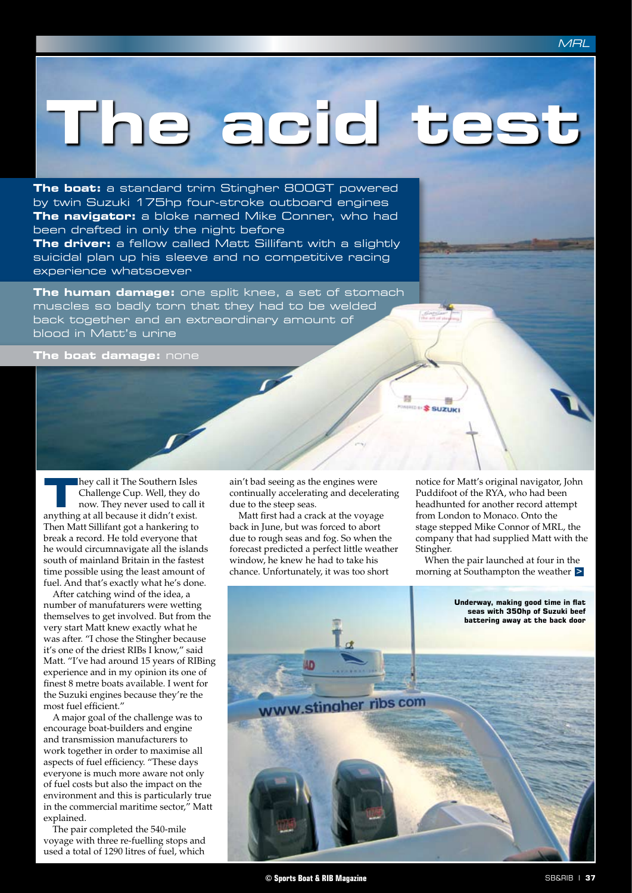## **The acid test**

**The boat:** a standard trim Stingher 800GT powered by twin Suzuki 175hp four-stroke outboard engines **The navigator:** a bloke named Mike Conner, who had been drafted in only the night before **The driver:** a fellow called Matt Sillifant with a slightly suicidal plan up his sleeve and no competitive racing experience whatsoever

**The human damage:** one split knee, a set of stomach muscles so badly torn that they had to be welded back together and an extraordinary amount of blood in Matt's urine

**The boat damage:** none

**They call it The Southern Isles<br>
Challenge Cup. Well, they do<br>
now. They never used to call<br>
<b>Theory of all harmonic it didn't** Challenge Cup. Well, they do now. They never used to call it anything at all because it didn't exist. Then Matt Sillifant got a hankering to break a record. He told everyone that he would circumnavigate all the islands south of mainland Britain in the fastest time possible using the least amount of fuel. And that's exactly what he's done.

After catching wind of the idea, a number of manufaturers were wetting themselves to get involved. But from the very start Matt knew exactly what he was after. "I chose the Stingher because it's one of the driest RIBs I know," said Matt. "I've had around 15 years of RIBing experience and in my opinion its one of finest 8 metre boats available. I went for the Suzuki engines because they're the most fuel efficient."

A major goal of the challenge was to encourage boat-builders and engine and transmission manufacturers to work together in order to maximise all aspects of fuel efficiency. "These days everyone is much more aware not only of fuel costs but also the impact on the environment and this is particularly true in the commercial maritime sector," Matt explained.

The pair completed the 540-mile voyage with three re-fuelling stops and used a total of 1290 litres of fuel, which

ain't bad seeing as the engines were continually accelerating and decelerating due to the steep seas.

Matt first had a crack at the voyage back in June, but was forced to abort due to rough seas and fog. So when the forecast predicted a perfect little weather window, he knew he had to take his chance. Unfortunately, it was too short

notice for Matt's original navigator, John Puddifoot of the RYA, who had been headhunted for another record attempt from London to Monaco. Onto the stage stepped Mike Connor of MRL, the company that had supplied Matt with the Stingher.

**\$ SUZUKI** 

**>** morning at Southampton the weather When the pair launched at four in the